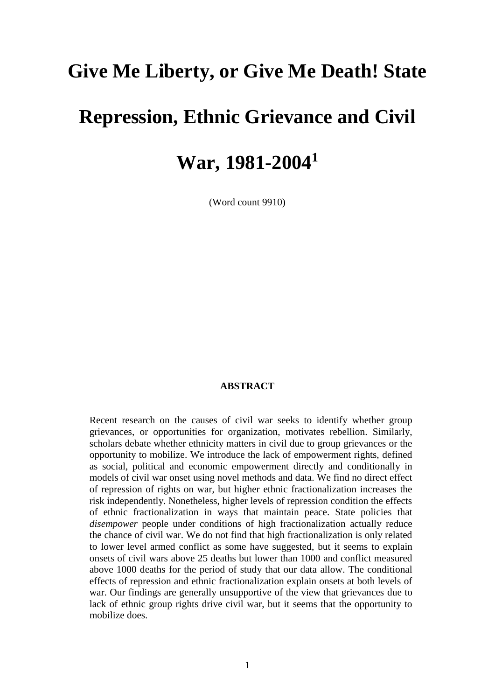## **Give Me Liberty, or Give Me Death! State**

# **Repression, Ethnic Grievance and Civil**

## **War, 1981-2004<sup>1</sup>**

(Word count 9910)

### **ABSTRACT**

Recent research on the causes of civil war seeks to identify whether group grievances, or opportunities for organization, motivates rebellion. Similarly, scholars debate whether ethnicity matters in civil due to group grievances or the opportunity to mobilize. We introduce the lack of empowerment rights, defined as social, political and economic empowerment directly and conditionally in models of civil war onset using novel methods and data. We find no direct effect of repression of rights on war, but higher ethnic fractionalization increases the risk independently. Nonetheless, higher levels of repression condition the effects of ethnic fractionalization in ways that maintain peace. State policies that *disempower* people under conditions of high fractionalization actually reduce the chance of civil war. We do not find that high fractionalization is only related to lower level armed conflict as some have suggested, but it seems to explain onsets of civil wars above 25 deaths but lower than 1000 and conflict measured above 1000 deaths for the period of study that our data allow. The conditional effects of repression and ethnic fractionalization explain onsets at both levels of war. Our findings are generally unsupportive of the view that grievances due to lack of ethnic group rights drive civil war, but it seems that the opportunity to mobilize does.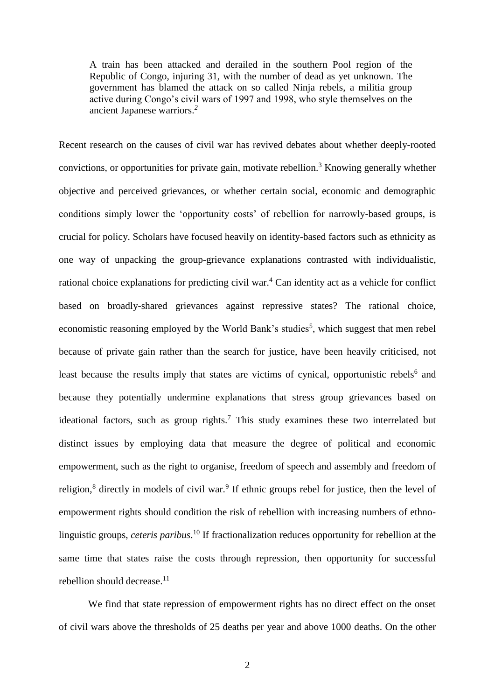A train has been attacked and derailed in the southern Pool region of the Republic of Congo, injuring 31, with the number of dead as yet unknown. The government has blamed the attack on so called Ninja rebels, a militia group active during Congo's civil wars of 1997 and 1998, who style themselves on the ancient Japanese warriors.*<sup>2</sup>*

Recent research on the causes of civil war has revived debates about whether deeply-rooted convictions, or opportunities for private gain, motivate rebellion. <sup>3</sup> Knowing generally whether objective and perceived grievances, or whether certain social, economic and demographic conditions simply lower the 'opportunity costs' of rebellion for narrowly-based groups, is crucial for policy. Scholars have focused heavily on identity-based factors such as ethnicity as one way of unpacking the group-grievance explanations contrasted with individualistic, rational choice explanations for predicting civil war.<sup>4</sup> Can identity act as a vehicle for conflict based on broadly-shared grievances against repressive states? The rational choice, economistic reasoning employed by the World Bank's studies<sup>5</sup>, which suggest that men rebel because of private gain rather than the search for justice, have been heavily criticised, not least because the results imply that states are victims of cynical, opportunistic rebels<sup>6</sup> and because they potentially undermine explanations that stress group grievances based on ideational factors, such as group rights.<sup>7</sup> This study examines these two interrelated but distinct issues by employing data that measure the degree of political and economic empowerment, such as the right to organise, freedom of speech and assembly and freedom of religion,<sup>8</sup> directly in models of civil war.<sup>9</sup> If ethnic groups rebel for justice, then the level of empowerment rights should condition the risk of rebellion with increasing numbers of ethnolinguistic groups, *ceteris paribus*. <sup>10</sup> If fractionalization reduces opportunity for rebellion at the same time that states raise the costs through repression, then opportunity for successful rebellion should decrease. $11$ 

We find that state repression of empowerment rights has no direct effect on the onset of civil wars above the thresholds of 25 deaths per year and above 1000 deaths. On the other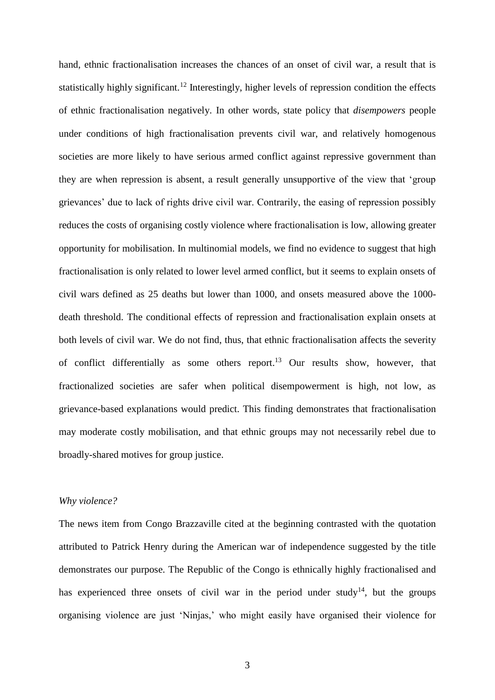hand, ethnic fractionalisation increases the chances of an onset of civil war, a result that is statistically highly significant.<sup>12</sup> Interestingly, higher levels of repression condition the effects of ethnic fractionalisation negatively. In other words, state policy that *disempowers* people under conditions of high fractionalisation prevents civil war, and relatively homogenous societies are more likely to have serious armed conflict against repressive government than they are when repression is absent, a result generally unsupportive of the view that 'group grievances' due to lack of rights drive civil war. Contrarily, the easing of repression possibly reduces the costs of organising costly violence where fractionalisation is low, allowing greater opportunity for mobilisation. In multinomial models, we find no evidence to suggest that high fractionalisation is only related to lower level armed conflict, but it seems to explain onsets of civil wars defined as 25 deaths but lower than 1000, and onsets measured above the 1000 death threshold. The conditional effects of repression and fractionalisation explain onsets at both levels of civil war. We do not find, thus, that ethnic fractionalisation affects the severity of conflict differentially as some others report.<sup>13</sup> Our results show, however, that fractionalized societies are safer when political disempowerment is high, not low, as grievance-based explanations would predict. This finding demonstrates that fractionalisation may moderate costly mobilisation, and that ethnic groups may not necessarily rebel due to broadly-shared motives for group justice.

#### *Why violence?*

The news item from Congo Brazzaville cited at the beginning contrasted with the quotation attributed to Patrick Henry during the American war of independence suggested by the title demonstrates our purpose. The Republic of the Congo is ethnically highly fractionalised and has experienced three onsets of civil war in the period under study<sup>14</sup>, but the groups organising violence are just 'Ninjas,' who might easily have organised their violence for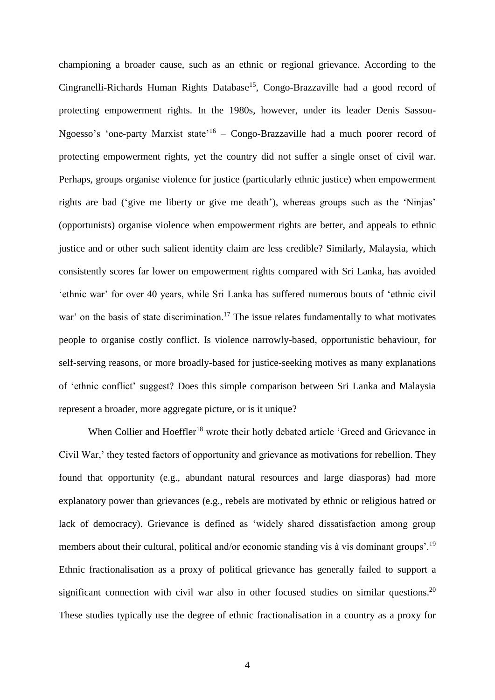championing a broader cause, such as an ethnic or regional grievance. According to the Cingranelli-Richards Human Rights Database<sup>15</sup>, Congo-Brazzaville had a good record of protecting empowerment rights. In the 1980s, however, under its leader Denis Sassou-Ngoesso's 'one-party Marxist state'<sup>16</sup> – Congo-Brazzaville had a much poorer record of protecting empowerment rights, yet the country did not suffer a single onset of civil war. Perhaps, groups organise violence for justice (particularly ethnic justice) when empowerment rights are bad ('give me liberty or give me death'), whereas groups such as the 'Ninjas' (opportunists) organise violence when empowerment rights are better, and appeals to ethnic justice and or other such salient identity claim are less credible? Similarly, Malaysia, which consistently scores far lower on empowerment rights compared with Sri Lanka, has avoided 'ethnic war' for over 40 years, while Sri Lanka has suffered numerous bouts of 'ethnic civil war' on the basis of state discrimination.<sup>17</sup> The issue relates fundamentally to what motivates people to organise costly conflict. Is violence narrowly-based, opportunistic behaviour, for self-serving reasons, or more broadly-based for justice-seeking motives as many explanations of 'ethnic conflict' suggest? Does this simple comparison between Sri Lanka and Malaysia represent a broader, more aggregate picture, or is it unique?

When Collier and Hoeffler<sup>18</sup> wrote their hotly debated article 'Greed and Grievance in Civil War,' they tested factors of opportunity and grievance as motivations for rebellion. They found that opportunity (e.g., abundant natural resources and large diasporas) had more explanatory power than grievances (e.g., rebels are motivated by ethnic or religious hatred or lack of democracy). Grievance is defined as 'widely shared dissatisfaction among group members about their cultural, political and/or economic standing vis à vis dominant groups'.<sup>19</sup> Ethnic fractionalisation as a proxy of political grievance has generally failed to support a significant connection with civil war also in other focused studies on similar questions.<sup>20</sup> These studies typically use the degree of ethnic fractionalisation in a country as a proxy for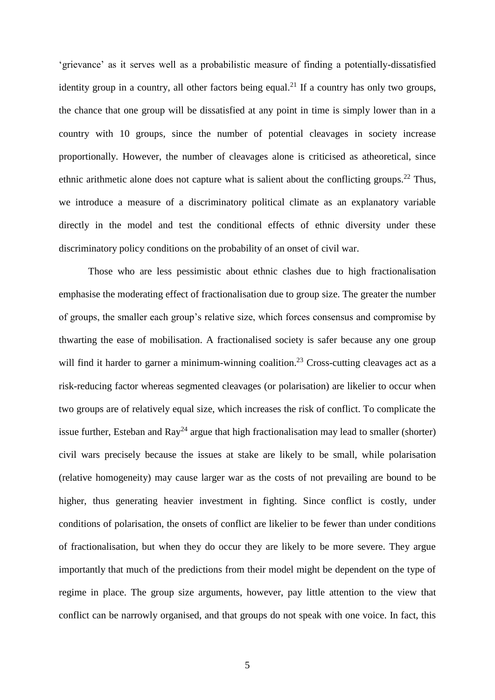'grievance' as it serves well as a probabilistic measure of finding a potentially-dissatisfied identity group in a country, all other factors being equal.<sup>21</sup> If a country has only two groups, the chance that one group will be dissatisfied at any point in time is simply lower than in a country with 10 groups, since the number of potential cleavages in society increase proportionally. However, the number of cleavages alone is criticised as atheoretical, since ethnic arithmetic alone does not capture what is salient about the conflicting groups.<sup>22</sup> Thus, we introduce a measure of a discriminatory political climate as an explanatory variable directly in the model and test the conditional effects of ethnic diversity under these discriminatory policy conditions on the probability of an onset of civil war.

Those who are less pessimistic about ethnic clashes due to high fractionalisation emphasise the moderating effect of fractionalisation due to group size. The greater the number of groups, the smaller each group's relative size, which forces consensus and compromise by thwarting the ease of mobilisation. A fractionalised society is safer because any one group will find it harder to garner a minimum-winning coalition.<sup>23</sup> Cross-cutting cleavages act as a risk-reducing factor whereas segmented cleavages (or polarisation) are likelier to occur when two groups are of relatively equal size, which increases the risk of conflict. To complicate the issue further, Esteban and  $Ray<sup>24</sup>$  argue that high fractionalisation may lead to smaller (shorter) civil wars precisely because the issues at stake are likely to be small, while polarisation (relative homogeneity) may cause larger war as the costs of not prevailing are bound to be higher, thus generating heavier investment in fighting. Since conflict is costly, under conditions of polarisation, the onsets of conflict are likelier to be fewer than under conditions of fractionalisation, but when they do occur they are likely to be more severe. They argue importantly that much of the predictions from their model might be dependent on the type of regime in place. The group size arguments, however, pay little attention to the view that conflict can be narrowly organised, and that groups do not speak with one voice. In fact, this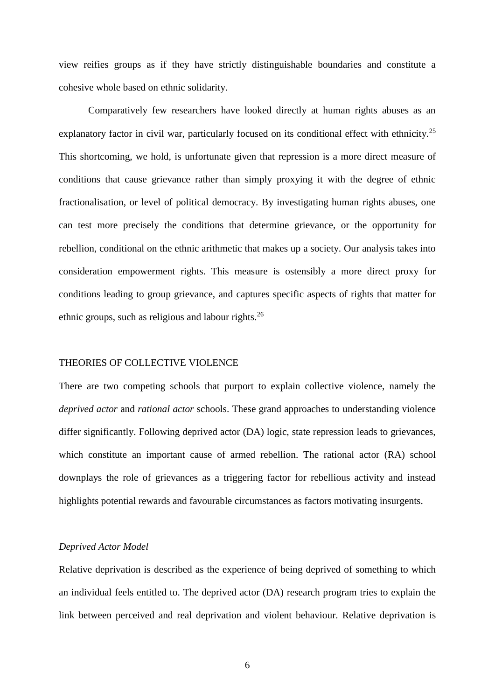view reifies groups as if they have strictly distinguishable boundaries and constitute a cohesive whole based on ethnic solidarity.

Comparatively few researchers have looked directly at human rights abuses as an explanatory factor in civil war, particularly focused on its conditional effect with ethnicity.<sup>25</sup> This shortcoming, we hold, is unfortunate given that repression is a more direct measure of conditions that cause grievance rather than simply proxying it with the degree of ethnic fractionalisation, or level of political democracy. By investigating human rights abuses, one can test more precisely the conditions that determine grievance, or the opportunity for rebellion, conditional on the ethnic arithmetic that makes up a society. Our analysis takes into consideration empowerment rights. This measure is ostensibly a more direct proxy for conditions leading to group grievance, and captures specific aspects of rights that matter for ethnic groups, such as religious and labour rights. $26$ 

#### THEORIES OF COLLECTIVE VIOLENCE

There are two competing schools that purport to explain collective violence, namely the *deprived actor* and *rational actor* schools. These grand approaches to understanding violence differ significantly. Following deprived actor (DA) logic, state repression leads to grievances, which constitute an important cause of armed rebellion. The rational actor (RA) school downplays the role of grievances as a triggering factor for rebellious activity and instead highlights potential rewards and favourable circumstances as factors motivating insurgents.

#### *Deprived Actor Model*

Relative deprivation is described as the experience of being deprived of something to which an individual feels entitled to. The deprived actor (DA) research program tries to explain the link between perceived and real deprivation and violent behaviour. Relative deprivation is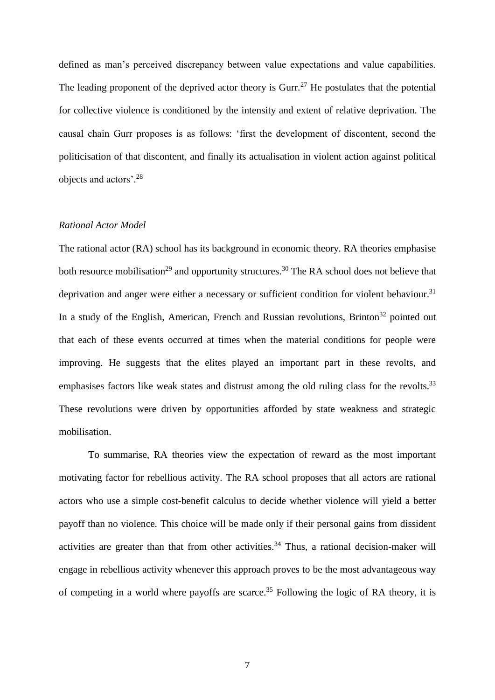defined as man's perceived discrepancy between value expectations and value capabilities. The leading proponent of the deprived actor theory is Gurr.<sup>27</sup> He postulates that the potential for collective violence is conditioned by the intensity and extent of relative deprivation. The causal chain Gurr proposes is as follows: 'first the development of discontent, second the politicisation of that discontent, and finally its actualisation in violent action against political objects and actors'. 28

### *Rational Actor Model*

The rational actor (RA) school has its background in economic theory. RA theories emphasise both resource mobilisation<sup>29</sup> and opportunity structures.<sup>30</sup> The RA school does not believe that deprivation and anger were either a necessary or sufficient condition for violent behaviour.<sup>31</sup> In a study of the English, American, French and Russian revolutions, Brinton<sup>32</sup> pointed out that each of these events occurred at times when the material conditions for people were improving. He suggests that the elites played an important part in these revolts, and emphasises factors like weak states and distrust among the old ruling class for the revolts.<sup>33</sup> These revolutions were driven by opportunities afforded by state weakness and strategic mobilisation.

To summarise, RA theories view the expectation of reward as the most important motivating factor for rebellious activity. The RA school proposes that all actors are rational actors who use a simple cost-benefit calculus to decide whether violence will yield a better payoff than no violence. This choice will be made only if their personal gains from dissident activities are greater than that from other activities.<sup>34</sup> Thus, a rational decision-maker will engage in rebellious activity whenever this approach proves to be the most advantageous way of competing in a world where payoffs are scarce. <sup>35</sup> Following the logic of RA theory, it is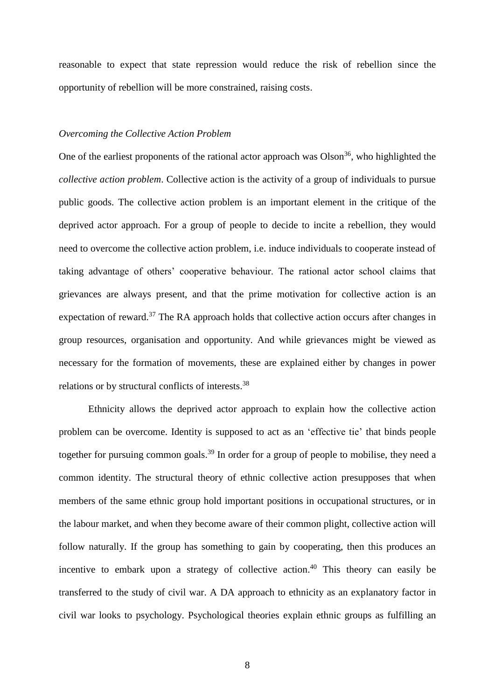reasonable to expect that state repression would reduce the risk of rebellion since the opportunity of rebellion will be more constrained, raising costs.

#### *Overcoming the Collective Action Problem*

One of the earliest proponents of the rational actor approach was  $OIson<sup>36</sup>$ , who highlighted the *collective action problem*. Collective action is the activity of a group of individuals to pursue public goods. The collective action problem is an important element in the critique of the deprived actor approach. For a group of people to decide to incite a rebellion, they would need to overcome the collective action problem, i.e. induce individuals to cooperate instead of taking advantage of others' cooperative behaviour. The rational actor school claims that grievances are always present, and that the prime motivation for collective action is an expectation of reward.<sup>37</sup> The RA approach holds that collective action occurs after changes in group resources, organisation and opportunity. And while grievances might be viewed as necessary for the formation of movements, these are explained either by changes in power relations or by structural conflicts of interests.<sup>38</sup>

Ethnicity allows the deprived actor approach to explain how the collective action problem can be overcome. Identity is supposed to act as an 'effective tie' that binds people together for pursuing common goals.<sup>39</sup> In order for a group of people to mobilise, they need a common identity. The structural theory of ethnic collective action presupposes that when members of the same ethnic group hold important positions in occupational structures, or in the labour market, and when they become aware of their common plight, collective action will follow naturally. If the group has something to gain by cooperating, then this produces an incentive to embark upon a strategy of collective action.<sup>40</sup> This theory can easily be transferred to the study of civil war. A DA approach to ethnicity as an explanatory factor in civil war looks to psychology. Psychological theories explain ethnic groups as fulfilling an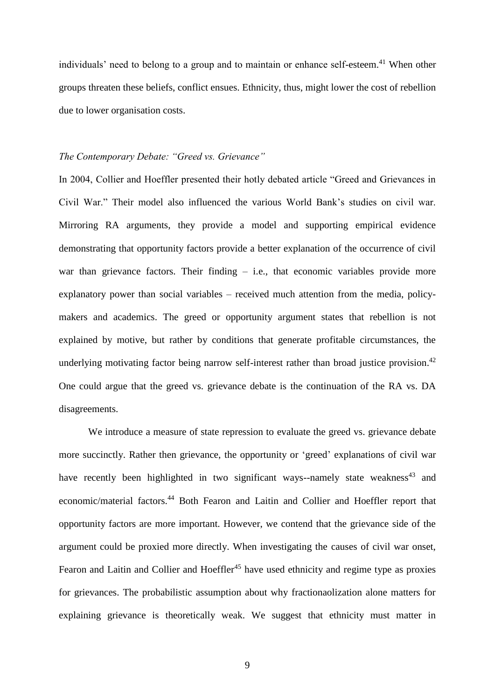individuals' need to belong to a group and to maintain or enhance self-esteem.<sup>41</sup> When other groups threaten these beliefs, conflict ensues. Ethnicity, thus, might lower the cost of rebellion due to lower organisation costs.

#### *The Contemporary Debate: "Greed vs. Grievance"*

In 2004, Collier and Hoeffler presented their hotly debated article "Greed and Grievances in Civil War." Their model also influenced the various World Bank's studies on civil war. Mirroring RA arguments, they provide a model and supporting empirical evidence demonstrating that opportunity factors provide a better explanation of the occurrence of civil war than grievance factors. Their finding  $-$  i.e., that economic variables provide more explanatory power than social variables – received much attention from the media, policymakers and academics. The greed or opportunity argument states that rebellion is not explained by motive, but rather by conditions that generate profitable circumstances, the underlying motivating factor being narrow self-interest rather than broad justice provision.<sup>42</sup> One could argue that the greed vs. grievance debate is the continuation of the RA vs. DA disagreements.

We introduce a measure of state repression to evaluate the greed vs. grievance debate more succinctly. Rather then grievance, the opportunity or 'greed' explanations of civil war have recently been highlighted in two significant ways--namely state weakness<sup>43</sup> and economic/material factors. <sup>44</sup> Both Fearon and Laitin and Collier and Hoeffler report that opportunity factors are more important. However, we contend that the grievance side of the argument could be proxied more directly. When investigating the causes of civil war onset, Fearon and Laitin and Collier and Hoeffler<sup>45</sup> have used ethnicity and regime type as proxies for grievances. The probabilistic assumption about why fractionaolization alone matters for explaining grievance is theoretically weak. We suggest that ethnicity must matter in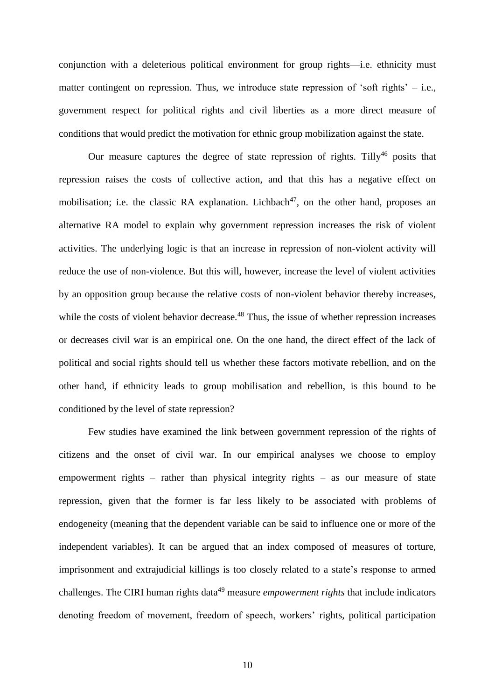conjunction with a deleterious political environment for group rights—i.e. ethnicity must matter contingent on repression. Thus, we introduce state repression of 'soft rights'  $-$  i.e., government respect for political rights and civil liberties as a more direct measure of conditions that would predict the motivation for ethnic group mobilization against the state.

Our measure captures the degree of state repression of rights. Tilly<sup>46</sup> posits that repression raises the costs of collective action, and that this has a negative effect on mobilisation; i.e. the classic RA explanation. Lichbach<sup>47</sup>, on the other hand, proposes an alternative RA model to explain why government repression increases the risk of violent activities. The underlying logic is that an increase in repression of non-violent activity will reduce the use of non-violence. But this will, however, increase the level of violent activities by an opposition group because the relative costs of non-violent behavior thereby increases, while the costs of violent behavior decrease.<sup>48</sup> Thus, the issue of whether repression increases or decreases civil war is an empirical one. On the one hand, the direct effect of the lack of political and social rights should tell us whether these factors motivate rebellion, and on the other hand, if ethnicity leads to group mobilisation and rebellion, is this bound to be conditioned by the level of state repression?

Few studies have examined the link between government repression of the rights of citizens and the onset of civil war. In our empirical analyses we choose to employ empowerment rights – rather than physical integrity rights – as our measure of state repression, given that the former is far less likely to be associated with problems of endogeneity (meaning that the dependent variable can be said to influence one or more of the independent variables). It can be argued that an index composed of measures of torture, imprisonment and extrajudicial killings is too closely related to a state's response to armed challenges. The CIRI human rights data<sup>49</sup> measure *empowerment rights* that include indicators denoting freedom of movement, freedom of speech, workers' rights, political participation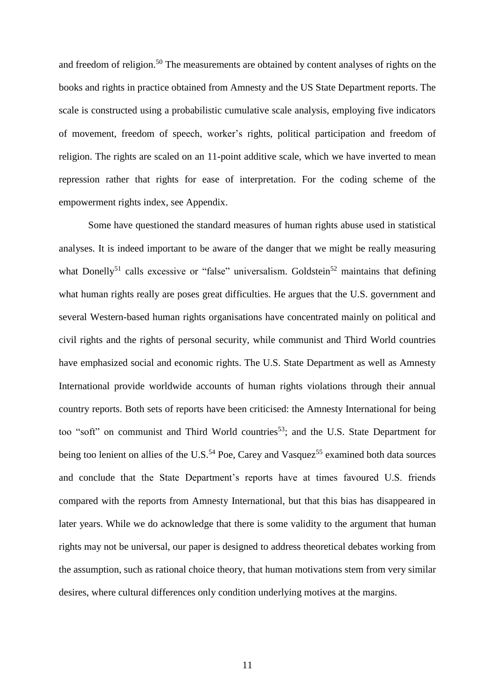and freedom of religion.<sup>50</sup> The measurements are obtained by content analyses of rights on the books and rights in practice obtained from Amnesty and the US State Department reports. The scale is constructed using a probabilistic cumulative scale analysis, employing five indicators of movement, freedom of speech, worker's rights, political participation and freedom of religion. The rights are scaled on an 11-point additive scale, which we have inverted to mean repression rather that rights for ease of interpretation. For the coding scheme of the empowerment rights index, see Appendix.

Some have questioned the standard measures of human rights abuse used in statistical analyses. It is indeed important to be aware of the danger that we might be really measuring what Donelly<sup>51</sup> calls excessive or "false" universalism. Goldstein<sup>52</sup> maintains that defining what human rights really are poses great difficulties. He argues that the U.S. government and several Western-based human rights organisations have concentrated mainly on political and civil rights and the rights of personal security, while communist and Third World countries have emphasized social and economic rights. The U.S. State Department as well as Amnesty International provide worldwide accounts of human rights violations through their annual country reports. Both sets of reports have been criticised: the Amnesty International for being too "soft" on communist and Third World countries<sup>53</sup>; and the U.S. State Department for being too lenient on allies of the U.S.<sup>54</sup> Poe, Carey and Vasquez<sup>55</sup> examined both data sources and conclude that the State Department's reports have at times favoured U.S. friends compared with the reports from Amnesty International, but that this bias has disappeared in later years. While we do acknowledge that there is some validity to the argument that human rights may not be universal, our paper is designed to address theoretical debates working from the assumption, such as rational choice theory, that human motivations stem from very similar desires, where cultural differences only condition underlying motives at the margins.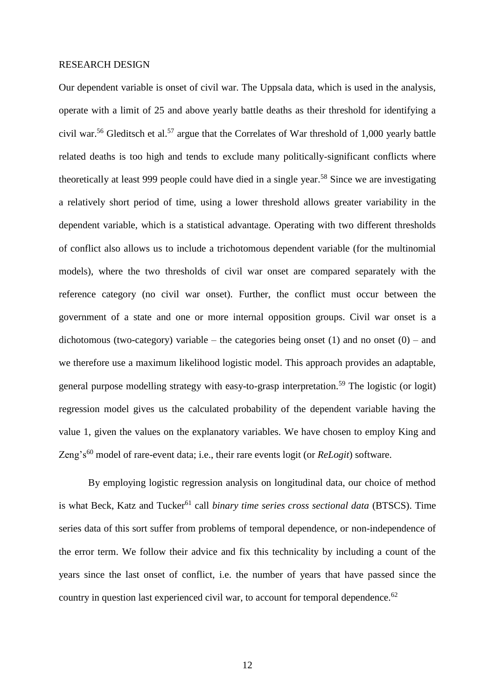#### RESEARCH DESIGN

Our dependent variable is onset of civil war. The Uppsala data, which is used in the analysis, operate with a limit of 25 and above yearly battle deaths as their threshold for identifying a civil war.<sup>56</sup> Gleditsch et al.<sup>57</sup> argue that the Correlates of War threshold of 1,000 yearly battle related deaths is too high and tends to exclude many politically-significant conflicts where theoretically at least 999 people could have died in a single year. <sup>58</sup> Since we are investigating a relatively short period of time, using a lower threshold allows greater variability in the dependent variable, which is a statistical advantage. Operating with two different thresholds of conflict also allows us to include a trichotomous dependent variable (for the multinomial models), where the two thresholds of civil war onset are compared separately with the reference category (no civil war onset). Further, the conflict must occur between the government of a state and one or more internal opposition groups. Civil war onset is a dichotomous (two-category) variable – the categories being onset  $(1)$  and no onset  $(0)$  – and we therefore use a maximum likelihood logistic model. This approach provides an adaptable, general purpose modelling strategy with easy-to-grasp interpretation.<sup>59</sup> The logistic (or logit) regression model gives us the calculated probability of the dependent variable having the value 1, given the values on the explanatory variables. We have chosen to employ King and Zeng's<sup>60</sup> model of rare-event data; i.e., their rare events logit (or *ReLogit*) software.

By employing logistic regression analysis on longitudinal data, our choice of method is what Beck, Katz and Tucker<sup>61</sup> call *binary time series cross sectional data* (BTSCS). Time series data of this sort suffer from problems of temporal dependence, or non-independence of the error term. We follow their advice and fix this technicality by including a count of the years since the last onset of conflict, i.e. the number of years that have passed since the country in question last experienced civil war, to account for temporal dependence.<sup>62</sup>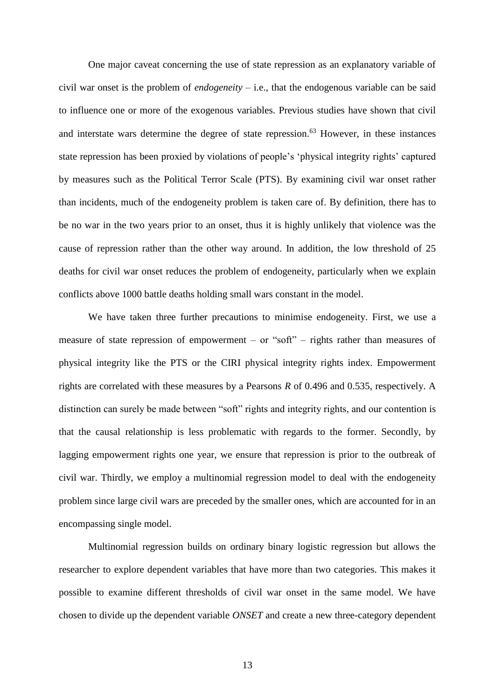One major caveat concerning the use of state repression as an explanatory variable of civil war onset is the problem of *endogeneity* – i.e., that the endogenous variable can be said to influence one or more of the exogenous variables. Previous studies have shown that civil and interstate wars determine the degree of state repression.<sup>63</sup> However, in these instances state repression has been proxied by violations of people's 'physical integrity rights' captured by measures such as the Political Terror Scale (PTS). By examining civil war onset rather than incidents, much of the endogeneity problem is taken care of. By definition, there has to be no war in the two years prior to an onset, thus it is highly unlikely that violence was the cause of repression rather than the other way around. In addition, the low threshold of 25 deaths for civil war onset reduces the problem of endogeneity, particularly when we explain conflicts above 1000 battle deaths holding small wars constant in the model.

We have taken three further precautions to minimise endogeneity. First, we use a measure of state repression of empowerment – or "soft" – rights rather than measures of physical integrity like the PTS or the CIRI physical integrity rights index. Empowerment rights are correlated with these measures by a Pearsons *R* of 0.496 and 0.535, respectively. A distinction can surely be made between "soft" rights and integrity rights, and our contention is that the causal relationship is less problematic with regards to the former. Secondly, by lagging empowerment rights one year, we ensure that repression is prior to the outbreak of civil war. Thirdly, we employ a multinomial regression model to deal with the endogeneity problem since large civil wars are preceded by the smaller ones, which are accounted for in an encompassing single model.

Multinomial regression builds on ordinary binary logistic regression but allows the researcher to explore dependent variables that have more than two categories. This makes it possible to examine different thresholds of civil war onset in the same model. We have chosen to divide up the dependent variable *ONSET* and create a new three-category dependent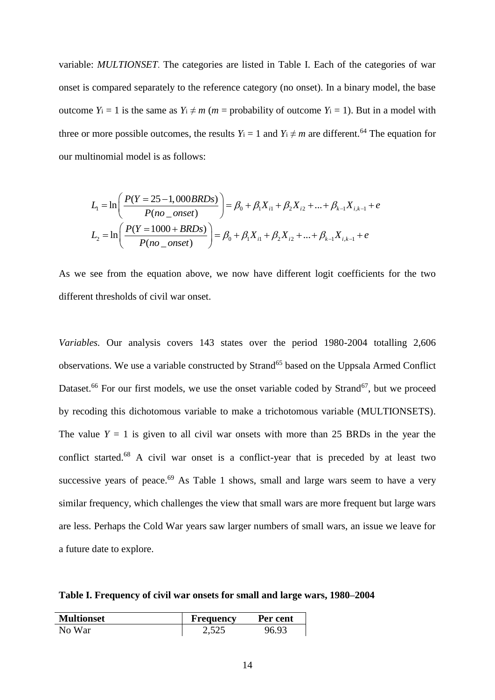variable: *MULTIONSET*. The categories are listed in Table I. Each of the categories of war onset is compared separately to the reference category (no onset). In a binary model, the base outcome  $Y_i = 1$  is the same as  $Y_i \neq m$  (*m* = probability of outcome  $Y_i = 1$ ). But in a model with three or more possible outcomes, the results  $Y_i = 1$  and  $Y_i \neq m$  are different.<sup>64</sup> The equation for our multinomial model is as follows:

$$
L_{1} = \ln\left(\frac{P(Y=25-1,000BRDs)}{P(no\_onset)}\right) = \beta_{0} + \beta_{1}X_{i1} + \beta_{2}X_{i2} + ... + \beta_{k-1}X_{i,k-1} + e
$$

$$
L_{2} = \ln\left(\frac{P(Y=1000 + BRDs)}{P(no\_onset)}\right) = \beta_{0} + \beta_{1}X_{i1} + \beta_{2}X_{i2} + ... + \beta_{k-1}X_{i,k-1} + e
$$

As we see from the equation above, we now have different logit coefficients for the two different thresholds of civil war onset.

*Variables.* Our analysis covers 143 states over the period 1980-2004 totalling 2,606 observations. We use a variable constructed by Strand<sup>65</sup> based on the Uppsala Armed Conflict Dataset.<sup>66</sup> For our first models, we use the onset variable coded by Strand<sup>67</sup>, but we proceed by recoding this dichotomous variable to make a trichotomous variable (MULTIONSETS). The value  $Y = 1$  is given to all civil war onsets with more than 25 BRDs in the year the conflict started.<sup>68</sup> A civil war onset is a conflict-year that is preceded by at least two successive years of peace. $69$  As Table 1 shows, small and large wars seem to have a very similar frequency, which challenges the view that small wars are more frequent but large wars are less. Perhaps the Cold War years saw larger numbers of small wars, an issue we leave for a future date to explore.

**Table I. Frequency of civil war onsets for small and large wars, 1980–2004**

| <b>Multionset</b> | Frequency | Per cent |
|-------------------|-----------|----------|
| No War            |           | 96 92    |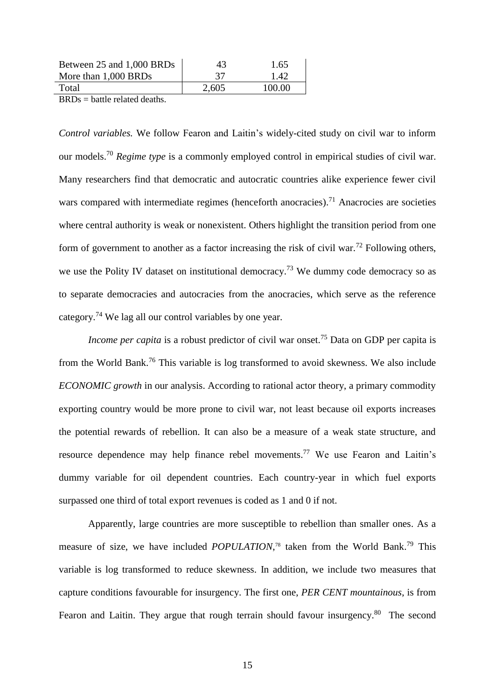| Between 25 and 1,000 BRDs | 43    | 1.65   |  |
|---------------------------|-------|--------|--|
| More than 1,000 BRDs      | 37    | 1.42   |  |
| Total                     | 2,605 | 100.00 |  |
| .<br>$- - -$              |       |        |  |

BRDs = battle related deaths.

*Control variables.* We follow Fearon and Laitin's widely-cited study on civil war to inform our models. <sup>70</sup> *Regime type* is a commonly employed control in empirical studies of civil war. Many researchers find that democratic and autocratic countries alike experience fewer civil wars compared with intermediate regimes (henceforth anocracies).<sup>71</sup> Anacrocies are societies where central authority is weak or nonexistent. Others highlight the transition period from one form of government to another as a factor increasing the risk of civil war.<sup>72</sup> Following others, we use the Polity IV dataset on institutional democracy.<sup>73</sup> We dummy code democracy so as to separate democracies and autocracies from the anocracies, which serve as the reference category.<sup>74</sup> We lag all our control variables by one year.

*Income per capita* is a robust predictor of civil war onset.<sup>75</sup> Data on GDP per capita is from the World Bank. <sup>76</sup> This variable is log transformed to avoid skewness. We also include *ECONOMIC growth* in our analysis. According to rational actor theory, a primary commodity exporting country would be more prone to civil war, not least because oil exports increases the potential rewards of rebellion. It can also be a measure of a weak state structure, and resource dependence may help finance rebel movements.<sup>77</sup> We use Fearon and Laitin's dummy variable for oil dependent countries. Each country-year in which fuel exports surpassed one third of total export revenues is coded as 1 and 0 if not.

Apparently, large countries are more susceptible to rebellion than smaller ones. As a measure of size, we have included *POPULATION*, <sup>78</sup> taken from the World Bank. <sup>79</sup> This variable is log transformed to reduce skewness. In addition, we include two measures that capture conditions favourable for insurgency. The first one, *PER CENT mountainous*, is from Fearon and Laitin. They argue that rough terrain should favour insurgency.<sup>80</sup> The second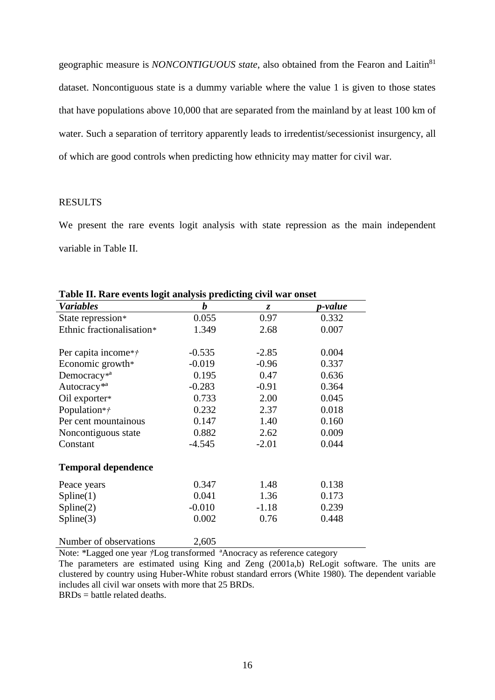geographic measure is *NONCONTIGUOUS state*, also obtained from the Fearon and Laitin<sup>81</sup> dataset. Noncontiguous state is a dummy variable where the value 1 is given to those states that have populations above 10,000 that are separated from the mainland by at least 100 km of water. Such a separation of territory apparently leads to irredentist/secessionist insurgency, all of which are good controls when predicting how ethnicity may matter for civil war.

#### RESULTS

We present the rare events logit analysis with state repression as the main independent variable in Table II.

| Table II. Kare events logit analysis preuteing civil war onset |          |         |         |  |  |
|----------------------------------------------------------------|----------|---------|---------|--|--|
| <b>Variables</b>                                               | $\bm{b}$ | Z.      | p-value |  |  |
| State repression*                                              | 0.055    | 0.97    | 0.332   |  |  |
| Ethnic fractionalisation*                                      | 1.349    | 2.68    | 0.007   |  |  |
|                                                                |          |         |         |  |  |
| Per capita income*/                                            | $-0.535$ | $-2.85$ | 0.004   |  |  |
| Economic growth*                                               | $-0.019$ | $-0.96$ | 0.337   |  |  |
| Democracy <sup>*a</sup>                                        | 0.195    | 0.47    | 0.636   |  |  |
| Autocracy <sup>*a</sup>                                        | $-0.283$ | $-0.91$ | 0.364   |  |  |
| Oil exporter*                                                  | 0.733    | 2.00    | 0.045   |  |  |
| Population*/                                                   | 0.232    | 2.37    | 0.018   |  |  |
| Per cent mountainous                                           | 0.147    | 1.40    | 0.160   |  |  |
| Noncontiguous state                                            | 0.882    | 2.62    | 0.009   |  |  |
| Constant                                                       | $-4.545$ | $-2.01$ | 0.044   |  |  |
| <b>Temporal dependence</b>                                     |          |         |         |  |  |
| Peace years                                                    | 0.347    | 1.48    | 0.138   |  |  |
| Spline(1)                                                      | 0.041    | 1.36    | 0.173   |  |  |
| Spline(2)                                                      | $-0.010$ | $-1.18$ | 0.239   |  |  |
| Spline(3)                                                      | 0.002    | 0.76    | 0.448   |  |  |
| Number of observations                                         | 2,605    |         |         |  |  |

**Table II. Rare events logit analysis predicting civil war onset** 

Note: *\**Lagged one year *†*Log transformed ªAnocracy as reference category

The parameters are estimated using King and Zeng (2001a,b) ReLogit software. The units are clustered by country using Huber-White robust standard errors (White 1980). The dependent variable includes all civil war onsets with more that 25 BRDs.

BRDs = battle related deaths.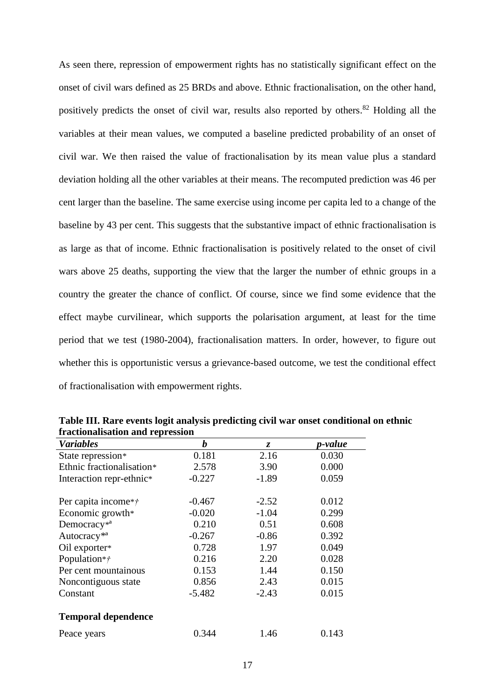As seen there, repression of empowerment rights has no statistically significant effect on the onset of civil wars defined as 25 BRDs and above. Ethnic fractionalisation, on the other hand, positively predicts the onset of civil war, results also reported by others.<sup>82</sup> Holding all the variables at their mean values, we computed a baseline predicted probability of an onset of civil war. We then raised the value of fractionalisation by its mean value plus a standard deviation holding all the other variables at their means. The recomputed prediction was 46 per cent larger than the baseline. The same exercise using income per capita led to a change of the baseline by 43 per cent. This suggests that the substantive impact of ethnic fractionalisation is as large as that of income. Ethnic fractionalisation is positively related to the onset of civil wars above 25 deaths, supporting the view that the larger the number of ethnic groups in a country the greater the chance of conflict. Of course, since we find some evidence that the effect maybe curvilinear, which supports the polarisation argument, at least for the time period that we test (1980-2004), fractionalisation matters. In order, however, to figure out whether this is opportunistic versus a grievance-based outcome, we test the conditional effect of fractionalisation with empowerment rights.

| <b>Variables</b>           | b        | Z.      |       |
|----------------------------|----------|---------|-------|
| State repression*          | 0.181    | 2.16    | 0.030 |
| Ethnic fractionalisation*  | 2.578    | 3.90    | 0.000 |
| Interaction repr-ethnic*   | $-0.227$ | $-1.89$ | 0.059 |
|                            |          |         |       |
| Per capita income*/        | $-0.467$ | $-2.52$ | 0.012 |
| Economic growth*           | $-0.020$ | $-1.04$ | 0.299 |
| Democracy $*^a$            | 0.210    | 0.51    | 0.608 |
| Autocracy <sup>*a</sup>    | $-0.267$ | $-0.86$ | 0.392 |
| Oil exporter*              | 0.728    | 1.97    | 0.049 |
| Population*/               | 0.216    | 2.20    | 0.028 |
| Per cent mountainous       | 0.153    | 1.44    | 0.150 |
| Noncontiguous state        | 0.856    | 2.43    | 0.015 |
| Constant                   | $-5.482$ | $-2.43$ | 0.015 |
| <b>Temporal dependence</b> |          |         |       |
| Peace years                | 0.344    | 1.46    | 0.143 |

**Table III. Rare events logit analysis predicting civil war onset conditional on ethnic fractionalisation and repression**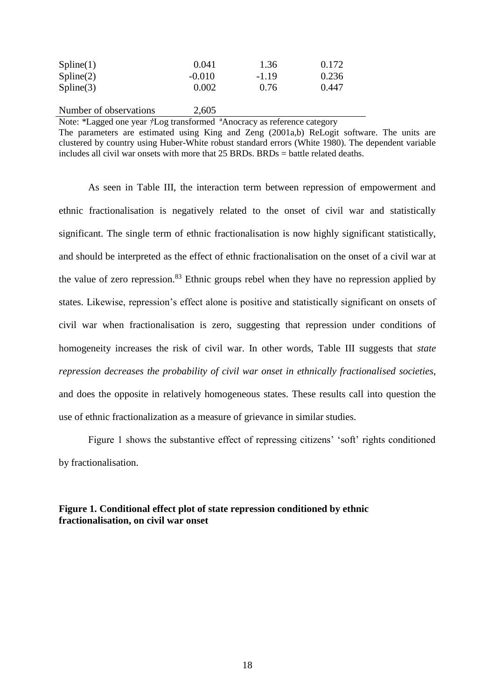| Spline(1) | 0.041                | 1.36    | 0.172 |
|-----------|----------------------|---------|-------|
| Spline(2) | $-0.010$             | $-1.19$ | 0.236 |
| Spline(3) | 0.002                | 0.76    | 0.447 |
| .         | $\sim$ $\sim$ $\sim$ |         |       |

Number of observations 2,605 Note: *\**Lagged one year *†*Log transformed ªAnocracy as reference category

The parameters are estimated using King and Zeng (2001a,b) ReLogit software. The units are clustered by country using Huber-White robust standard errors (White 1980). The dependent variable includes all civil war onsets with more that  $25$  BRDs. BRDs = battle related deaths.

As seen in Table III, the interaction term between repression of empowerment and ethnic fractionalisation is negatively related to the onset of civil war and statistically significant. The single term of ethnic fractionalisation is now highly significant statistically, and should be interpreted as the effect of ethnic fractionalisation on the onset of a civil war at the value of zero repression.<sup>83</sup> Ethnic groups rebel when they have no repression applied by states. Likewise, repression's effect alone is positive and statistically significant on onsets of civil war when fractionalisation is zero, suggesting that repression under conditions of homogeneity increases the risk of civil war. In other words, Table III suggests that *state repression decreases the probability of civil war onset in ethnically fractionalised societies*, and does the opposite in relatively homogeneous states. These results call into question the use of ethnic fractionalization as a measure of grievance in similar studies.

Figure 1 shows the substantive effect of repressing citizens' 'soft' rights conditioned by fractionalisation.

### **Figure 1. Conditional effect plot of state repression conditioned by ethnic fractionalisation, on civil war onset**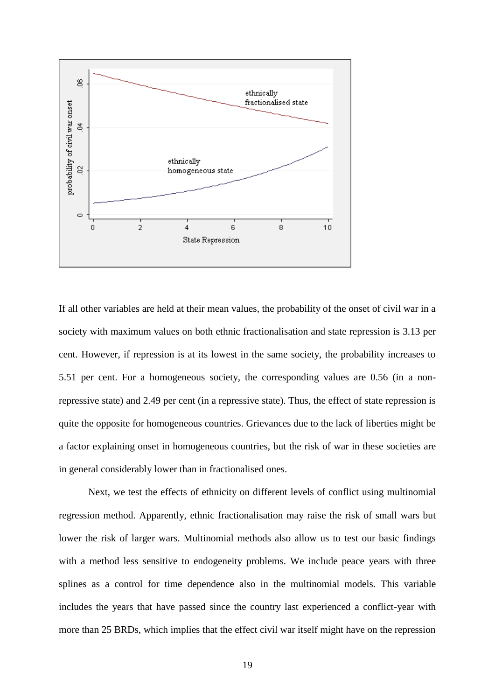

If all other variables are held at their mean values, the probability of the onset of civil war in a society with maximum values on both ethnic fractionalisation and state repression is 3.13 per cent. However, if repression is at its lowest in the same society, the probability increases to 5.51 per cent. For a homogeneous society, the corresponding values are 0.56 (in a nonrepressive state) and 2.49 per cent (in a repressive state). Thus, the effect of state repression is quite the opposite for homogeneous countries. Grievances due to the lack of liberties might be a factor explaining onset in homogeneous countries, but the risk of war in these societies are in general considerably lower than in fractionalised ones.

Next, we test the effects of ethnicity on different levels of conflict using multinomial regression method. Apparently, ethnic fractionalisation may raise the risk of small wars but lower the risk of larger wars. Multinomial methods also allow us to test our basic findings with a method less sensitive to endogeneity problems. We include peace years with three splines as a control for time dependence also in the multinomial models. This variable includes the years that have passed since the country last experienced a conflict-year with more than 25 BRDs, which implies that the effect civil war itself might have on the repression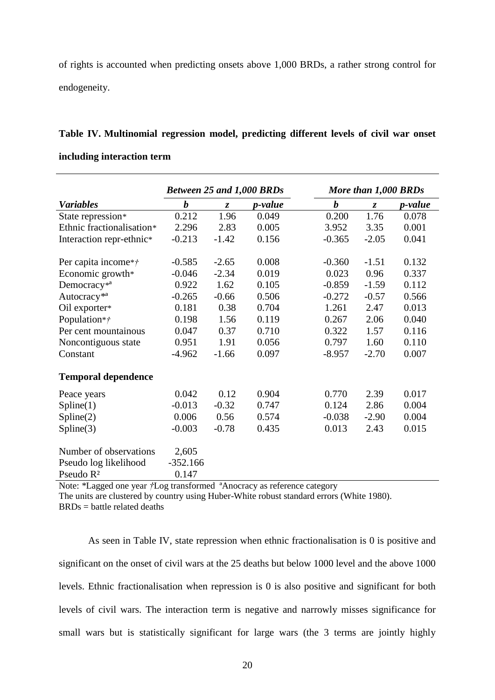of rights is accounted when predicting onsets above 1,000 BRDs, a rather strong control for endogeneity.

## **Table IV. Multinomial regression model, predicting different levels of civil war onset including interaction term**

|                                                                          | <b>Between 25 and 1,000 BRDs</b> |         |         | More than 1,000 BRDs |                  |         |
|--------------------------------------------------------------------------|----------------------------------|---------|---------|----------------------|------------------|---------|
| <b>Variables</b>                                                         | $\boldsymbol{b}$                 | Z,      | p-value | $\boldsymbol{b}$     | $\boldsymbol{z}$ | p-value |
| State repression*                                                        | 0.212                            | 1.96    | 0.049   | 0.200                | 1.76             | 0.078   |
| Ethnic fractionalisation*                                                | 2.296                            | 2.83    | 0.005   | 3.952                | 3.35             | 0.001   |
| Interaction repr-ethnic*                                                 | $-0.213$                         | $-1.42$ | 0.156   | $-0.365$             | $-2.05$          | 0.041   |
| Per capita income $*$                                                    | $-0.585$                         | $-2.65$ | 0.008   | $-0.360$             | $-1.51$          | 0.132   |
| Economic growth*                                                         | $-0.046$                         | $-2.34$ | 0.019   | 0.023                | 0.96             | 0.337   |
| Democracy <sup>*a</sup>                                                  | 0.922                            | 1.62    | 0.105   | $-0.859$             | $-1.59$          | 0.112   |
| Autocracy <sup>*a</sup>                                                  | $-0.265$                         | $-0.66$ | 0.506   | $-0.272$             | $-0.57$          | 0.566   |
| Oil exporter*                                                            | 0.181                            | 0.38    | 0.704   | 1.261                | 2.47             | 0.013   |
| Population*/                                                             | 0.198                            | 1.56    | 0.119   | 0.267                | 2.06             | 0.040   |
| Per cent mountainous                                                     | 0.047                            | 0.37    | 0.710   | 0.322                | 1.57             | 0.116   |
| Noncontiguous state                                                      | 0.951                            | 1.91    | 0.056   | 0.797                | 1.60             | 0.110   |
| Constant                                                                 | $-4.962$                         | $-1.66$ | 0.097   | $-8.957$             | $-2.70$          | 0.007   |
| <b>Temporal dependence</b>                                               |                                  |         |         |                      |                  |         |
| Peace years                                                              | 0.042                            | 0.12    | 0.904   | 0.770                | 2.39             | 0.017   |
| Spline(1)                                                                | $-0.013$                         | $-0.32$ | 0.747   | 0.124                | 2.86             | 0.004   |
| Spline(2)                                                                | 0.006                            | 0.56    | 0.574   | $-0.038$             | $-2.90$          | 0.004   |
| Spline(3)                                                                | $-0.003$                         | $-0.78$ | 0.435   | 0.013                | 2.43             | 0.015   |
| Number of observations<br>Pseudo log likelihood<br>Pseudo R <sup>2</sup> | 2,605<br>$-352.166$<br>0.147     |         |         |                      |                  |         |

Note: *\**Lagged one year *†*Log transformed ªAnocracy as reference category

The units are clustered by country using Huber-White robust standard errors (White 1980).  $BRDs = b$ attle related deaths

As seen in Table IV, state repression when ethnic fractionalisation is 0 is positive and significant on the onset of civil wars at the 25 deaths but below 1000 level and the above 1000 levels. Ethnic fractionalisation when repression is 0 is also positive and significant for both levels of civil wars. The interaction term is negative and narrowly misses significance for small wars but is statistically significant for large wars (the 3 terms are jointly highly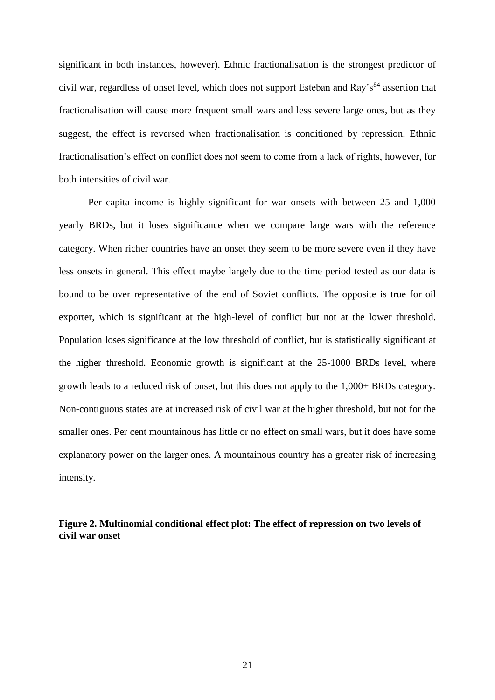significant in both instances, however). Ethnic fractionalisation is the strongest predictor of civil war, regardless of onset level, which does not support Esteban and Ray's<sup>84</sup> assertion that fractionalisation will cause more frequent small wars and less severe large ones, but as they suggest, the effect is reversed when fractionalisation is conditioned by repression. Ethnic fractionalisation's effect on conflict does not seem to come from a lack of rights, however, for both intensities of civil war.

Per capita income is highly significant for war onsets with between 25 and 1,000 yearly BRDs, but it loses significance when we compare large wars with the reference category. When richer countries have an onset they seem to be more severe even if they have less onsets in general. This effect maybe largely due to the time period tested as our data is bound to be over representative of the end of Soviet conflicts. The opposite is true for oil exporter, which is significant at the high-level of conflict but not at the lower threshold. Population loses significance at the low threshold of conflict, but is statistically significant at the higher threshold. Economic growth is significant at the 25-1000 BRDs level, where growth leads to a reduced risk of onset, but this does not apply to the 1,000+ BRDs category. Non-contiguous states are at increased risk of civil war at the higher threshold, but not for the smaller ones. Per cent mountainous has little or no effect on small wars, but it does have some explanatory power on the larger ones. A mountainous country has a greater risk of increasing intensity.

**Figure 2. Multinomial conditional effect plot: The effect of repression on two levels of civil war onset**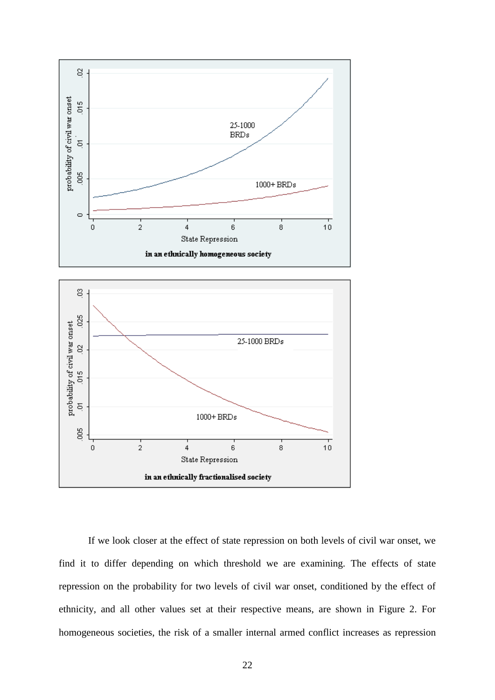



If we look closer at the effect of state repression on both levels of civil war onset, we find it to differ depending on which threshold we are examining. The effects of state repression on the probability for two levels of civil war onset, conditioned by the effect of ethnicity, and all other values set at their respective means, are shown in Figure 2. For homogeneous societies, the risk of a smaller internal armed conflict increases as repression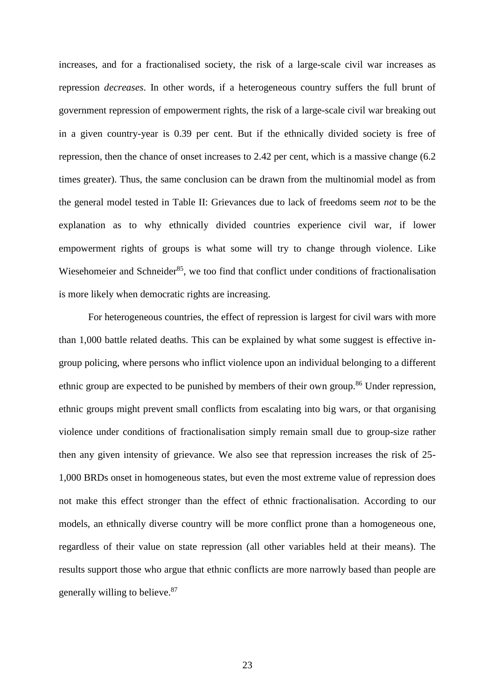increases, and for a fractionalised society, the risk of a large-scale civil war increases as repression *decreases*. In other words, if a heterogeneous country suffers the full brunt of government repression of empowerment rights, the risk of a large-scale civil war breaking out in a given country-year is 0.39 per cent. But if the ethnically divided society is free of repression, then the chance of onset increases to 2.42 per cent, which is a massive change (6.2 times greater). Thus, the same conclusion can be drawn from the multinomial model as from the general model tested in Table II: Grievances due to lack of freedoms seem *not* to be the explanation as to why ethnically divided countries experience civil war, if lower empowerment rights of groups is what some will try to change through violence. Like Wiesehomeier and Schneider<sup>85</sup>, we too find that conflict under conditions of fractionalisation is more likely when democratic rights are increasing.

For heterogeneous countries, the effect of repression is largest for civil wars with more than 1,000 battle related deaths. This can be explained by what some suggest is effective ingroup policing, where persons who inflict violence upon an individual belonging to a different ethnic group are expected to be punished by members of their own group.<sup>86</sup> Under repression, ethnic groups might prevent small conflicts from escalating into big wars, or that organising violence under conditions of fractionalisation simply remain small due to group-size rather then any given intensity of grievance. We also see that repression increases the risk of 25- 1,000 BRDs onset in homogeneous states, but even the most extreme value of repression does not make this effect stronger than the effect of ethnic fractionalisation. According to our models, an ethnically diverse country will be more conflict prone than a homogeneous one, regardless of their value on state repression (all other variables held at their means). The results support those who argue that ethnic conflicts are more narrowly based than people are generally willing to believe. 87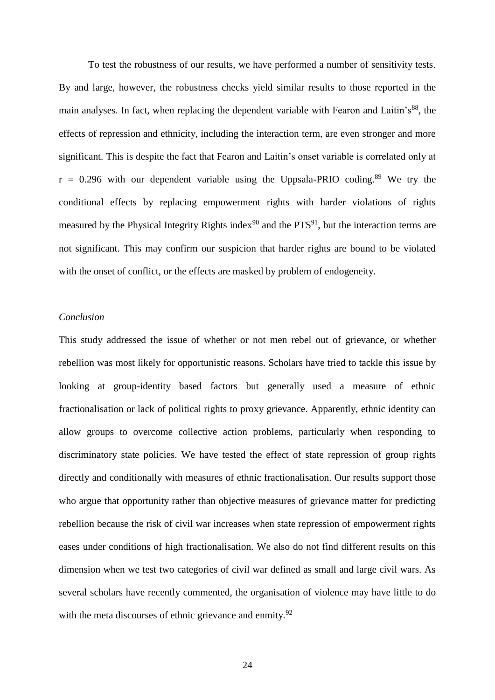To test the robustness of our results, we have performed a number of sensitivity tests. By and large, however, the robustness checks yield similar results to those reported in the main analyses. In fact, when replacing the dependent variable with Fearon and Laitin's<sup>88</sup>, the effects of repression and ethnicity, including the interaction term, are even stronger and more significant. This is despite the fact that Fearon and Laitin's onset variable is correlated only at  $r = 0.296$  with our dependent variable using the Uppsala-PRIO coding.<sup>89</sup> We try the conditional effects by replacing empowerment rights with harder violations of rights measured by the Physical Integrity Rights index<sup>90</sup> and the  $PTS<sup>91</sup>$ , but the interaction terms are not significant. This may confirm our suspicion that harder rights are bound to be violated with the onset of conflict, or the effects are masked by problem of endogeneity.

#### *Conclusion*

This study addressed the issue of whether or not men rebel out of grievance, or whether rebellion was most likely for opportunistic reasons. Scholars have tried to tackle this issue by looking at group-identity based factors but generally used a measure of ethnic fractionalisation or lack of political rights to proxy grievance. Apparently, ethnic identity can allow groups to overcome collective action problems, particularly when responding to discriminatory state policies. We have tested the effect of state repression of group rights directly and conditionally with measures of ethnic fractionalisation. Our results support those who argue that opportunity rather than objective measures of grievance matter for predicting rebellion because the risk of civil war increases when state repression of empowerment rights eases under conditions of high fractionalisation. We also do not find different results on this dimension when we test two categories of civil war defined as small and large civil wars. As several scholars have recently commented, the organisation of violence may have little to do with the meta discourses of ethnic grievance and enmity.<sup>92</sup>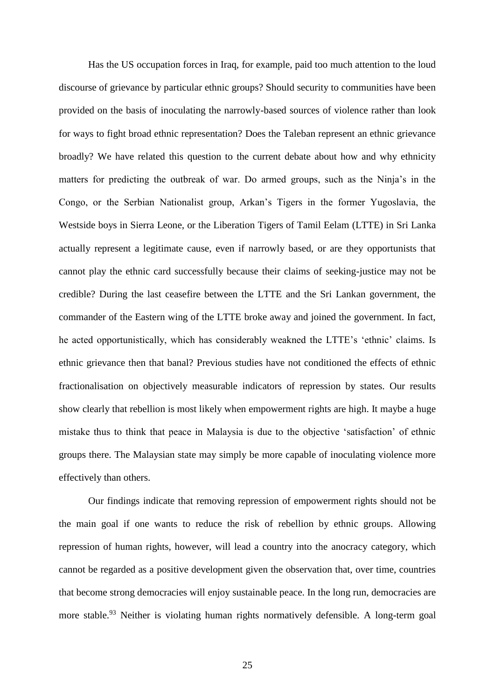Has the US occupation forces in Iraq, for example, paid too much attention to the loud discourse of grievance by particular ethnic groups? Should security to communities have been provided on the basis of inoculating the narrowly-based sources of violence rather than look for ways to fight broad ethnic representation? Does the Taleban represent an ethnic grievance broadly? We have related this question to the current debate about how and why ethnicity matters for predicting the outbreak of war. Do armed groups, such as the Ninja's in the Congo, or the Serbian Nationalist group, Arkan's Tigers in the former Yugoslavia, the Westside boys in Sierra Leone, or the Liberation Tigers of Tamil Eelam (LTTE) in Sri Lanka actually represent a legitimate cause, even if narrowly based, or are they opportunists that cannot play the ethnic card successfully because their claims of seeking-justice may not be credible? During the last ceasefire between the LTTE and the Sri Lankan government, the commander of the Eastern wing of the LTTE broke away and joined the government. In fact, he acted opportunistically, which has considerably weakned the LTTE's 'ethnic' claims. Is ethnic grievance then that banal? Previous studies have not conditioned the effects of ethnic fractionalisation on objectively measurable indicators of repression by states. Our results show clearly that rebellion is most likely when empowerment rights are high. It maybe a huge mistake thus to think that peace in Malaysia is due to the objective 'satisfaction' of ethnic groups there. The Malaysian state may simply be more capable of inoculating violence more effectively than others.

Our findings indicate that removing repression of empowerment rights should not be the main goal if one wants to reduce the risk of rebellion by ethnic groups. Allowing repression of human rights, however, will lead a country into the anocracy category, which cannot be regarded as a positive development given the observation that, over time, countries that become strong democracies will enjoy sustainable peace. In the long run, democracies are more stable.<sup>93</sup> Neither is violating human rights normatively defensible. A long-term goal

25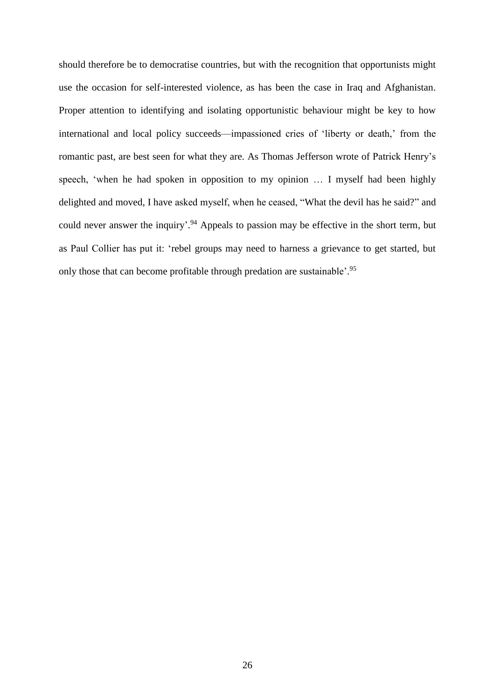should therefore be to democratise countries, but with the recognition that opportunists might use the occasion for self-interested violence, as has been the case in Iraq and Afghanistan. Proper attention to identifying and isolating opportunistic behaviour might be key to how international and local policy succeeds—impassioned cries of 'liberty or death,' from the romantic past, are best seen for what they are. As Thomas Jefferson wrote of Patrick Henry's speech, 'when he had spoken in opposition to my opinion … I myself had been highly delighted and moved, I have asked myself, when he ceased, "What the devil has he said?" and could never answer the inquiry'.<sup>94</sup> Appeals to passion may be effective in the short term, but as Paul Collier has put it: 'rebel groups may need to harness a grievance to get started, but only those that can become profitable through predation are sustainable'.<sup>95</sup>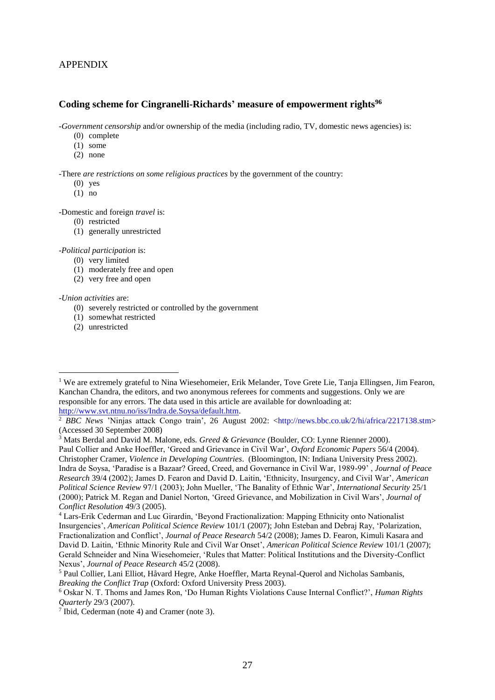## APPENDIX

## **Coding scheme for Cingranelli-Richards' measure of empowerment rights<sup>96</sup>**

*-Government censorship* and/or ownership of the media (including radio, TV, domestic news agencies) is:

- (0) complete
- (1) some
- (2) none

-There *are restrictions on some religious practices* by the government of the country:

- (0) yes
- (1) no

-Domestic and foreign *travel* is:

- (0) restricted
- (1) generally unrestricted

#### -*Political participation* is:

- (0) very limited
- (1) moderately free and open
- (2) very free and open

#### -*Union activities* are:

1

- (0) severely restricted or controlled by the government
- (1) somewhat restricted
- (2) unrestricted

<sup>3</sup> Mats Berdal and David M. Malone, eds. *Greed & Grievance* (Boulder, CO: Lynne Rienner 2000).

<sup>&</sup>lt;sup>1</sup> We are extremely grateful to Nina Wiesehomeier, Erik Melander, Tove Grete Lie, Tanja Ellingsen, Jim Fearon, Kanchan Chandra, the editors, and two anonymous referees for comments and suggestions. Only we are responsible for any errors. The data used in this article are available for downloading at: [http://www.svt.ntnu.no/iss/Indra.de.Soysa/default.htm.](http://www.svt.ntnu.no/iss/Indra.de.Soysa/default.htm) 

 $\frac{2}{3}$  *BBC News* 'Ninjas attack Congo train', 26 August 2002: [<http://news.bbc.co.uk/2/hi/africa/2217138.stm>](http://news.bbc.co.uk/2/hi/africa/2217138.stm) (Accessed 30 September 2008)

Paul Collier and Anke Hoeffler, 'Greed and Grievance in Civil War', *Oxford Economic Papers* 56/4 (2004). Christopher Cramer, *Violence in Developing Countries*. (Bloomington, IN: Indiana University Press 2002). Indra de Soysa, 'Paradise is a Bazaar? Greed, Creed, and Governance in Civil War, 1989-99' , *Journal of Peace Research* 39/4 (2002); James D. Fearon and David D. Laitin, 'Ethnicity, Insurgency, and Civil War', *American Political Science Review* 97/1 (2003); John Mueller, 'The Banality of Ethnic War', *International Security* 25/1 (2000); Patrick M. Regan and Daniel Norton, 'Greed Grievance, and Mobilization in Civil Wars', *Journal of Conflict Resolution* 49/3 (2005).

<sup>4</sup> Lars-Erik Cederman and Luc Girardin, 'Beyond Fractionalization: Mapping Ethnicity onto Nationalist Insurgencies', *American Political Science Review* 101/1 (2007); John Esteban and Debraj Ray, 'Polarization, Fractionalization and Conflict', *Journal of Peace Research* 54/2 (2008); James D. Fearon, Kimuli Kasara and David D. Laitin, 'Ethnic Minority Rule and Civil War Onset', *American Political Science Review* 101/1 (2007); Gerald Schneider and Nina Wiesehomeier, 'Rules that Matter: Political Institutions and the Diversity-Conflict Nexus', *Journal of Peace Research* 45/2 (2008).

<sup>5</sup> Paul Collier, Lani Elliot, Håvard Hegre, Anke Hoeffler, Marta Reynal-Querol and Nicholas Sambanis, *Breaking the Conflict Trap* (Oxford: Oxford University Press 2003).

<sup>6</sup> Oskar N. T. Thoms and James Ron, 'Do Human Rights Violations Cause Internal Conflict?', *Human Rights Quarterly* 29/3 (2007).

<sup>7</sup> Ibid, Cederman (note 4) and Cramer (note 3).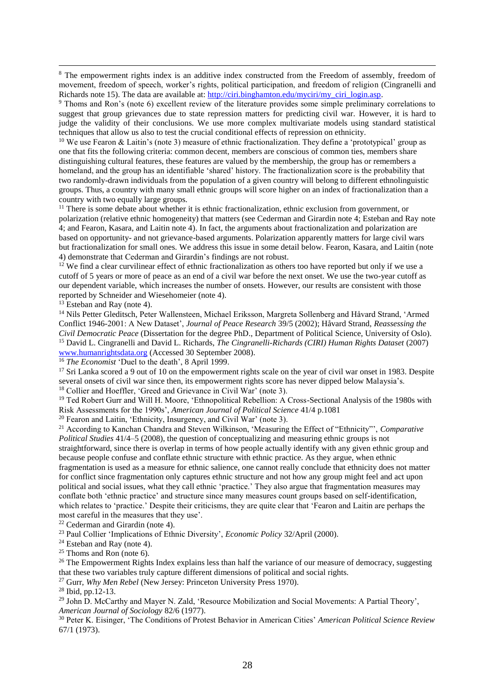<sup>8</sup> The empowerment rights index is an additive index constructed from the Freedom of assembly, freedom of movement, freedom of speech, worker's rights, political participation, and freedom of religion (Cingranelli and Richards note 15). The data are available at: [http://ciri.binghamton.edu/myciri/my\\_ciri\\_login.asp.](http://ciri.binghamton.edu/myciri/my_ciri_login.asp)

<sup>9</sup> Thoms and Ron's (note 6) excellent review of the literature provides some simple preliminary correlations to suggest that group grievances due to state repression matters for predicting civil war. However, it is hard to judge the validity of their conclusions. We use more complex multivariate models using standard statistical techniques that allow us also to test the crucial conditional effects of repression on ethnicity.

<sup>10</sup> We use Fearon & Laitin's (note 3) measure of ethnic fractionalization. They define a 'prototypical' group as one that fits the following criteria: common decent, members are conscious of common ties, members share distinguishing cultural features, these features are valued by the membership, the group has or remembers a homeland, and the group has an identifiable 'shared' history. The fractionalization score is the probability that two randomly-drawn individuals from the population of a given country will belong to different ethnolinguistic groups. Thus, a country with many small ethnic groups will score higher on an index of fractionalization than a country with two equally large groups.

 $11$  There is some debate about whether it is ethnic fractionalization, ethnic exclusion from government, or polarization (relative ethnic homogeneity) that matters (see Cederman and Girardin note 4; Esteban and Ray note 4; and Fearon, Kasara, and Laitin note 4). In fact, the arguments about fractionalization and polarization are based on opportunity- and not grievance-based arguments. Polarization apparently matters for large civil wars but fractionalization for small ones. We address this issue in some detail below. Fearon, Kasara, and Laitin (note 4) demonstrate that Cederman and Girardin's findings are not robust.

 $12$  We find a clear curvilinear effect of ethnic fractionalization as others too have reported but only if we use a cutoff of 5 years or more of peace as an end of a civil war before the next onset. We use the two-year cutoff as our dependent variable, which increases the number of onsets. However, our results are consistent with those reported by Schneider and Wiesehomeier (note 4).

<sup>13</sup> Esteban and Ray (note 4).

 $\overline{a}$ 

<sup>14</sup> Nils Petter Gleditsch, Peter Wallensteen, Michael Eriksson, Margreta Sollenberg and Håvard Strand, 'Armed Conflict 1946-2001: A New Dataset', *Journal of Peace Research* 39/5 (2002); Håvard Strand, *Reassessing the Civil Democratic Peace* (Dissertation for the degree PhD., Department of Political Science, University of Oslo). <sup>15</sup> David L. Cingranelli and David L. Richards, *The Cingranelli-Richards (CIRI) Human Rights Dataset* (2007) [www.humanrightsdata.org](http://www.humanrightsdata.org/) (Accessed 30 September 2008).

<sup>16</sup> *The Economist* 'Duel to the death', 8 April 1999.

<sup>17</sup> Sri Lanka scored a 9 out of 10 on the empowerment rights scale on the year of civil war onset in 1983. Despite several onsets of civil war since then, its empowerment rights score has never dipped below Malaysia's. <sup>18</sup> Collier and Hoeffler, 'Greed and Grievance in Civil War' (note 3).

<sup>19</sup> Ted Robert Gurr and Will H. Moore, 'Ethnopolitical Rebellion: A Cross-Sectional Analysis of the 1980s with Risk Assessments for the 1990s', *American Journal of Political Science* 41/4 p.1081

<sup>20</sup> Fearon and Laitin, 'Ethnicity, Insurgency, and Civil War' (note 3).

<sup>21</sup> According to Kanchan Chandra and Steven Wilkinson, 'Measuring the Effect of "Ethnicity"', *Comparative Political Studies* 41/4–5 (2008), the question of conceptualizing and measuring ethnic groups is not straightforward, since there is overlap in terms of how people actually identify with any given ethnic group and because people confuse and conflate ethnic structure with ethnic practice. As they argue, when ethnic fragmentation is used as a measure for ethnic salience, one cannot really conclude that ethnicity does not matter for conflict since fragmentation only captures ethnic structure and not how any group might feel and act upon political and social issues, what they call ethnic 'practice.' They also argue that fragmentation measures may conflate both 'ethnic practice' and structure since many measures count groups based on self-identification, which relates to 'practice.' Despite their criticisms, they are quite clear that 'Fearon and Laitin are perhaps the most careful in the measures that they use'.

<sup>22</sup> Cederman and Girardin (note 4).

<sup>23</sup> Paul Collier 'Implications of Ethnic Diversity', *Economic Policy* 32/April (2000).

 $24$  Esteban and Ray (note 4).

 $25$  Thoms and Ron (note 6).

<sup>26</sup> The Empowerment Rights Index explains less than half the variance of our measure of democracy, suggesting that these two variables truly capture different dimensions of political and social rights.

<sup>27</sup> Gurr, *Why Men Rebel* (New Jersey: Princeton University Press 1970).

<sup>28</sup> Ibid, pp.12-13.

<sup>29</sup> John D. McCarthy and Mayer N. Zald, 'Resource Mobilization and Social Movements: A Partial Theory', *American Journal of Sociology* 82/6 (1977).

<sup>30</sup> Peter K. Eisinger, 'The Conditions of Protest Behavior in American Cities' *American Political Science Review* 67/1 (1973).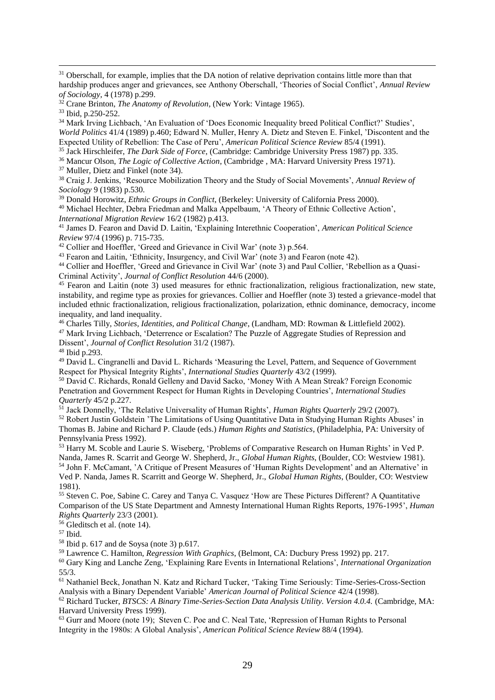$\overline{a}$ 

<sup>34</sup> Mark Irving Lichbach, 'An Evaluation of 'Does Economic Inequality breed Political Conflict?' Studies', *World Politics* 41/4 (1989) p.460; Edward N. Muller, Henry A. Dietz and Steven E. Finkel, 'Discontent and the Expected Utility of Rebellion: The Case of Peru', *American Political Science Review* 85/4 (1991).

<sup>35</sup> Jack Hirschleifer, *The Dark Side of Force*, (Cambridge: Cambridge University Press 1987) pp. 335.

<sup>36</sup> Mancur Olson, *The Logic of Collective Action*, (Cambridge , MA: Harvard University Press 1971).

<sup>37</sup> Muller, Dietz and Finkel (note 34).

<sup>38</sup> Craig J. Jenkins, 'Resource Mobilization Theory and the Study of Social Movements', *Annual Review of Sociology* 9 (1983) p.530.

<sup>39</sup> Donald Horowitz, *Ethnic Groups in Conflict*, (Berkeley: University of California Press 2000).

<sup>40</sup> Michael Hechter, Debra Friedman and Malka Appelbaum, 'A Theory of Ethnic Collective Action', *International Migration Review* 16/2 (1982) p.413.

<sup>41</sup> James D. Fearon and David D. Laitin, 'Explaining Interethnic Cooperation', *American Political Science Review* 97/4 (1996) p. 715-735.

 $42$  Collier and Hoeffler, 'Greed and Grievance in Civil War' (note 3) p.564.

<sup>43</sup> Fearon and Laitin, 'Ethnicity, Insurgency, and Civil War' (note 3) and Fearon (note 42).

<sup>44</sup> Collier and Hoeffler, 'Greed and Grievance in Civil War' (note 3) and Paul Collier, 'Rebellion as a Quasi-Criminal Activity', *Journal of Conflict Resolution* 44/6 (2000).

<sup>45</sup> Fearon and Laitin (note 3) used measures for ethnic fractionalization, religious fractionalization, new state, instability, and regime type as proxies for grievances. Collier and Hoeffler (note 3) tested a grievance-model that included ethnic fractionalization, religious fractionalization, polarization, ethnic dominance, democracy, income inequality, and land inequality.

<sup>46</sup> Charles Tilly, *Stories, Identities, and Political Change*, (Landham, MD: Rowman & Littlefield 2002). <sup>47</sup> Mark Irving Lichbach, 'Deterrence or Escalation? The Puzzle of Aggregate Studies of Repression and Dissent', *Journal of Conflict Resolution* 31/2 (1987).

<sup>48</sup> Ibid p.293.

<sup>49</sup> David L. Cingranelli and David L. Richards 'Measuring the Level, Pattern, and Sequence of Government Respect for Physical Integrity Rights', *International Studies Quarterly* 43/2 (1999).

<sup>50</sup> David C. Richards, Ronald Gelleny and David Sacko, 'Money With A Mean Streak? Foreign Economic Penetration and Government Respect for Human Rights in Developing Countries', *International Studies Quarterly* 45/2 p.227.

<sup>51</sup> Jack Donnelly, 'The Relative Universality of Human Rights', *Human Rights Quarterly* 29/2 (2007).

<sup>52</sup> Robert Justin Goldstein 'The Limitations of Using Quantitative Data in Studying Human Rights Abuses' in Thomas B. Jabine and Richard P. Claude (eds.) *Human Rights and Statistics*, (Philadelphia, PA: University of Pennsylvania Press 1992).

<sup>53</sup> Harry M. Scoble and Laurie S. Wiseberg, 'Problems of Comparative Research on Human Rights' in Ved P. Nanda, James R. Scarrit and George W. Shepherd, Jr., *Global Human Rights*, (Boulder, CO: Westview 1981). <sup>54</sup> John F. McCamant, 'A Critique of Present Measures of 'Human Rights Development' and an Alternative' in Ved P. Nanda, James R. Scarritt and George W. Shepherd, Jr., *Global Human Rights*, (Boulder, CO: Westview 1981).

<sup>55</sup> Steven C. Poe, Sabine C. Carey and Tanya C. Vasquez 'How are These Pictures Different? A Quantitative Comparison of the US State Department and Amnesty International Human Rights Reports, 1976-1995', *Human Rights Quarterly* 23/3 (2001).

<sup>56</sup> Gleditsch et al. (note 14).

<sup>57</sup> Ibid.

 $58$  Ibid p. 617 and de Soysa (note 3) p.617.

<sup>59</sup> Lawrence C. Hamilton, *Regression With Graphics*, (Belmont, CA: Ducbury Press 1992) pp. 217.

<sup>60</sup> Gary King and Lanche Zeng, 'Explaining Rare Events in International Relations', *International Organization* 55/3.

<sup>61</sup> Nathaniel Beck, Jonathan N. Katz and Richard Tucker, 'Taking Time Seriously: Time-Series-Cross-Section Analysis with a Binary Dependent Variable' *American Journal of Political Science* 42/4 (1998).

<sup>62</sup> Richard Tucker, *BTSCS: A Binary Time-Series-Section Data Analysis Utility. Version 4.0.4.* (Cambridge, MA: Harvard University Press 1999).

<sup>63</sup> Gurr and Moore (note 19); Steven C. Poe and C. Neal Tate, 'Repression of Human Rights to Personal Integrity in the 1980s: A Global Analysis', *American Political Science Review* 88/4 (1994).

<sup>&</sup>lt;sup>31</sup> Oberschall, for example, implies that the DA notion of relative deprivation contains little more than that hardship produces anger and grievances, see Anthony Oberschall, 'Theories of Social Conflict', *Annual Review of Sociology*, 4 (1978) p.299.

<sup>&</sup>lt;sup>32</sup> Crane Brinton, *The Anatomy of Revolution*, (New York: Vintage 1965).

<sup>33</sup> Ibid, p.250-252.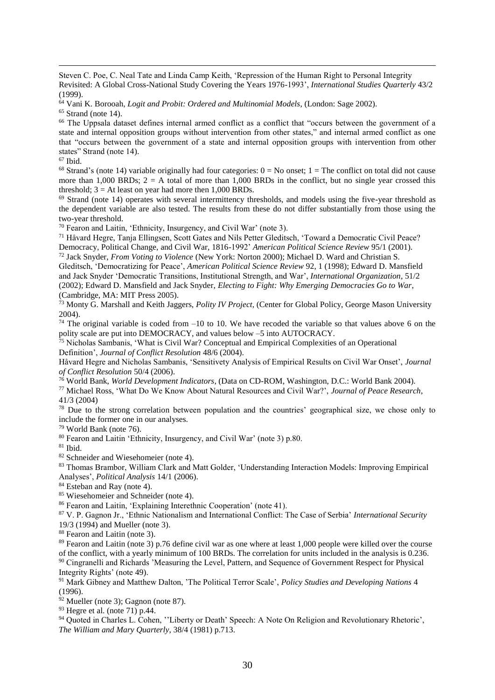Steven C. Poe, C. Neal Tate and Linda Camp Keith, 'Repression of the Human Right to Personal Integrity Revisited: A Global Cross-National Study Covering the Years 1976-1993', *International Studies Quarterly* 43/2 (1999).

<sup>64</sup> Vani K. Borooah, *Logit and Probit: Ordered and Multinomial Models*, (London: Sage 2002).

 $65$  Strand (note 14).

<sup>66</sup> The Uppsala dataset defines internal armed conflict as a conflict that "occurs between the government of a state and internal opposition groups without intervention from other states," and internal armed conflict as one that "occurs between the government of a state and internal opposition groups with intervention from other states" Strand (note 14).

 $67$  Ibid.

 $\overline{a}$ 

<sup>68</sup> Strand's (note 14) variable originally had four categories:  $0 = No$  onset;  $1 = The$  conflict on total did not cause more than 1,000 BRDs;  $2 = A$  total of more than 1,000 BRDs in the conflict, but no single year crossed this threshold;  $3 = At$  least on year had more then 1,000 BRDs.

<sup>69</sup> Strand (note 14) operates with several intermittency thresholds, and models using the five-year threshold as the dependent variable are also tested. The results from these do not differ substantially from those using the two-year threshold.

<sup>70</sup> Fearon and Laitin, 'Ethnicity, Insurgency, and Civil War' (note 3).

<sup>71</sup> Håvard Hegre, Tanja Ellingsen, Scott Gates and Nils Petter Gleditsch, 'Toward a Democratic Civil Peace? Democracy, Political Change, and Civil War, 1816-1992' *American Political Science Review* 95/1 (2001).

<sup>72</sup> Jack Snyder, *From Voting to Violence* (New York: Norton 2000); Michael D. Ward and Christian S. Gleditsch, 'Democratizing for Peace', *American Political Science Review* 92, 1 (1998); Edward D. Mansfield and Jack Snyder 'Democratic Transitions, Institutional Strength, and War', *International Organization*, 51/2 (2002); Edward D. Mansfield and Jack Snyder, *Electing to Fight: Why Emerging Democracies Go to War*, (Cambridge, MA: MIT Press 2005).

<sup>73</sup> Monty G. Marshall and Keith Jaggers, *Polity IV Project*, (Center for Global Policy, George Mason University 2004).

<sup>74</sup> The original variable is coded from  $-10$  to 10. We have recoded the variable so that values above 6 on the polity scale are put into DEMOCRACY, and values below –5 into AUTOCRACY.

 $75$  Nicholas Sambanis, 'What is Civil War? Conceptual and Empirical Complexities of an Operational Definition', *Journal of Conflict Resolution* 48/6 (2004).

Håvard Hegre and Nicholas Sambanis, 'Sensitivety Analysis of Empirical Results on Civil War Onset', *Journal of Conflict Resolution* 50/4 (2006).

<sup>76</sup> World Bank, *World Development Indicators*, (Data on CD-ROM, Washington, D.C.: World Bank 2004).

<sup>77</sup> Michael Ross, 'What Do We Know About Natural Resources and Civil War?', *Journal of Peace Research*, 41/3 (2004)

<sup>78</sup> Due to the strong correlation between population and the countries' geographical size, we chose only to include the former one in our analyses.

<sup>79</sup> World Bank (note 76).

<sup>80</sup> Fearon and Laitin 'Ethnicity, Insurgency, and Civil War' (note 3) p.80.

 $81$  Ibid.

<sup>82</sup> Schneider and Wiesehomeier (note 4).

<sup>83</sup> Thomas Brambor, William Clark and Matt Golder, 'Understanding Interaction Models: Improving Empirical Analyses', *Political Analysis* 14/1 (2006).

<sup>84</sup> Esteban and Ray (note 4).

<sup>85</sup> Wiesehomeier and Schneider (note 4).

<sup>86</sup> Fearon and Laitin, 'Explaining Interethnic Cooperation' (note 41).

<sup>87</sup> V. P. Gagnon Jr., 'Ethnic Nationalism and International Conflict: The Case of Serbia' *International Security*  19/3 (1994) and Mueller (note 3).

<sup>88</sup> Fearon and Laitin (note 3).

 $89$  Fearon and Laitin (note 3) p.76 define civil war as one where at least 1,000 people were killed over the course of the conflict, with a yearly minimum of 100 BRDs. The correlation for units included in the analysis is 0.236. <sup>90</sup> Cingranelli and Richards 'Measuring the Level, Pattern, and Sequence of Government Respect for Physical Integrity Rights' (note 49).

<sup>91</sup> Mark Gibney and Matthew Dalton, 'The Political Terror Scale', *Policy Studies and Developing Nations* 4 (1996).

 $92$  Mueller (note 3); Gagnon (note 87).

 $93$  Hegre et al. (note 71) p.44.

<sup>94</sup> Quoted in Charles L. Cohen, "Liberty or Death' Speech: A Note On Religion and Revolutionary Rhetoric', *The William and Mary Quarterly*, 38/4 (1981) p.713.